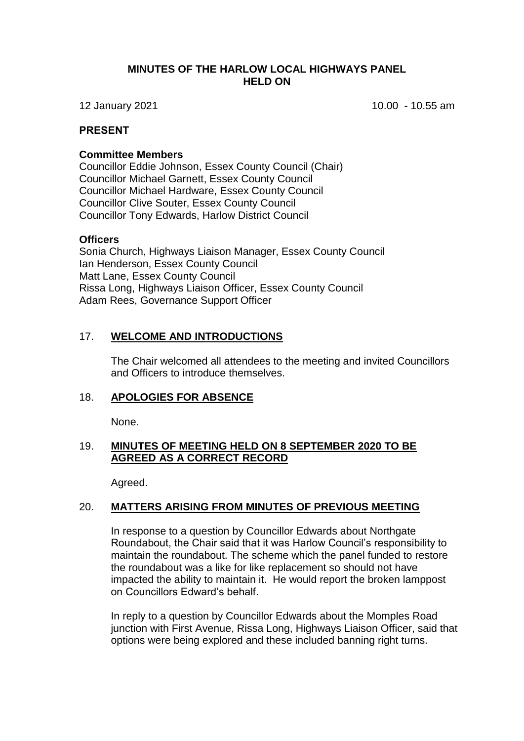### **MINUTES OF THE HARLOW LOCAL HIGHWAYS PANEL HELD ON**

12 January 2021 10.00 - 10.55 am

### **PRESENT**

#### **Committee Members**

Councillor Eddie Johnson, Essex County Council (Chair) Councillor Michael Garnett, Essex County Council Councillor Michael Hardware, Essex County Council Councillor Clive Souter, Essex County Council Councillor Tony Edwards, Harlow District Council

#### **Officers**

Sonia Church, Highways Liaison Manager, Essex County Council Ian Henderson, Essex County Council Matt Lane, Essex County Council Rissa Long, Highways Liaison Officer, Essex County Council Adam Rees, Governance Support Officer

## 17. **WELCOME AND INTRODUCTIONS**

The Chair welcomed all attendees to the meeting and invited Councillors and Officers to introduce themselves.

#### 18. **APOLOGIES FOR ABSENCE**

None.

## 19. **MINUTES OF MEETING HELD ON 8 SEPTEMBER 2020 TO BE AGREED AS A CORRECT RECORD**

Agreed.

#### 20. **MATTERS ARISING FROM MINUTES OF PREVIOUS MEETING**

In response to a question by Councillor Edwards about Northgate Roundabout, the Chair said that it was Harlow Council's responsibility to maintain the roundabout. The scheme which the panel funded to restore the roundabout was a like for like replacement so should not have impacted the ability to maintain it. He would report the broken lamppost on Councillors Edward's behalf.

In reply to a question by Councillor Edwards about the Momples Road junction with First Avenue, Rissa Long, Highways Liaison Officer, said that options were being explored and these included banning right turns.